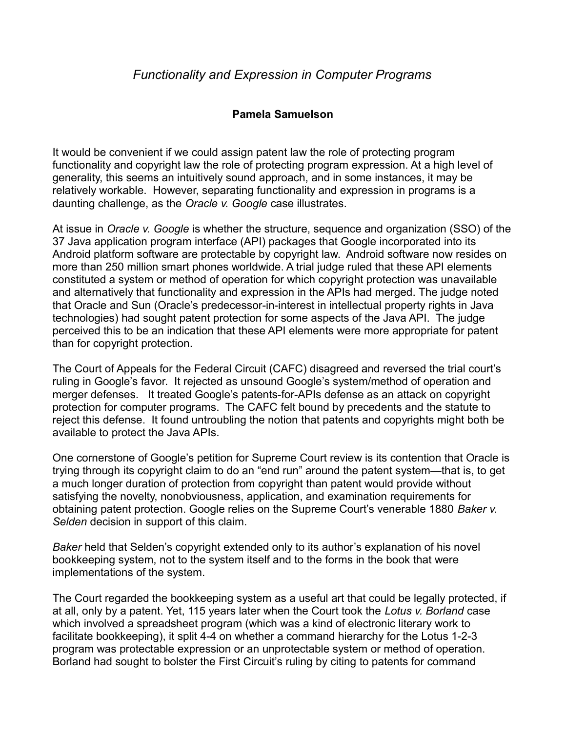## **Pamela Samuelson**

It would be convenient if we could assign patent law the role of protecting program functionality and copyright law the role of protecting program expression. At a high level of generality, this seems an intuitively sound approach, and in some instances, it may be relatively workable. However, separating functionality and expression in programs is a daunting challenge, as the *Oracle v. Google* case illustrates.

At issue in *Oracle v. Google* is whether the structure, sequence and organization (SSO) of the 37 Java application program interface (API) packages that Google incorporated into its Android platform software are protectable by copyright law. Android software now resides on more than 250 million smart phones worldwide. A trial judge ruled that these API elements constituted a system or method of operation for which copyright protection was unavailable and alternatively that functionality and expression in the APIs had merged. The judge noted that Oracle and Sun (Oracle's predecessor-in-interest in intellectual property rights in Java technologies) had sought patent protection for some aspects of the Java API. The judge perceived this to be an indication that these API elements were more appropriate for patent than for copyright protection.

The Court of Appeals for the Federal Circuit (CAFC) disagreed and reversed the trial court's ruling in Google's favor. It rejected as unsound Google's system/method of operation and merger defenses. It treated Google's patents-for-APIs defense as an attack on copyright protection for computer programs. The CAFC felt bound by precedents and the statute to reject this defense. It found untroubling the notion that patents and copyrights might both be available to protect the Java APIs.

One cornerstone of Google's petition for Supreme Court review is its contention that Oracle is trying through its copyright claim to do an "end run" around the patent system—that is, to get a much longer duration of protection from copyright than patent would provide without satisfying the novelty, nonobviousness, application, and examination requirements for obtaining patent protection. Google relies on the Supreme Court's venerable 1880 *Baker v. Selden* decision in support of this claim.

*Baker* held that Selden's copyright extended only to its author's explanation of his novel bookkeeping system, not to the system itself and to the forms in the book that were implementations of the system.

The Court regarded the bookkeeping system as a useful art that could be legally protected, if at all, only by a patent. Yet, 115 years later when the Court took the *Lotus v. Borland* case which involved a spreadsheet program (which was a kind of electronic literary work to facilitate bookkeeping), it split 4-4 on whether a command hierarchy for the Lotus 1-2-3 program was protectable expression or an unprotectable system or method of operation. Borland had sought to bolster the First Circuit's ruling by citing to patents for command